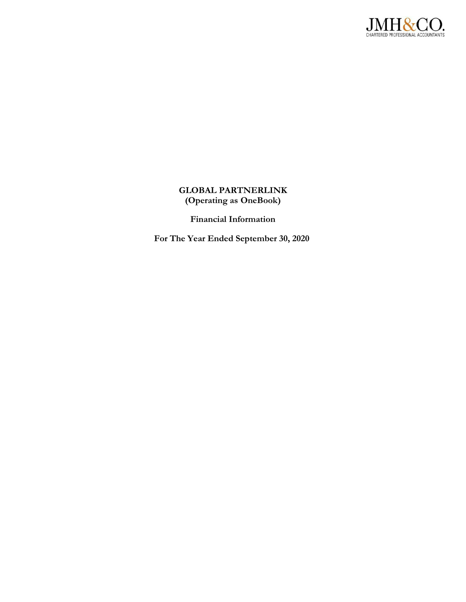

**Financial Information**

**For The Year Ended September 30, 2020**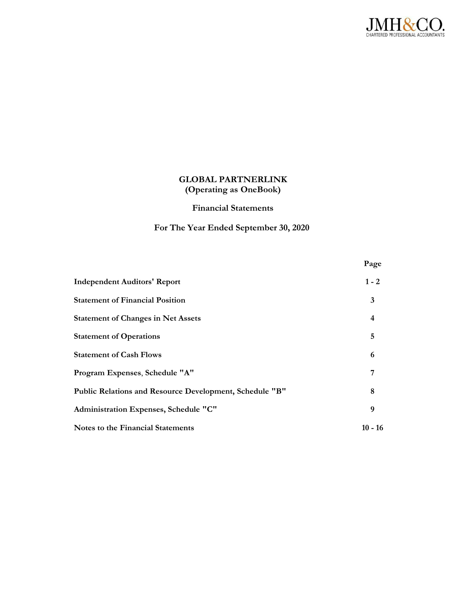

**Financial Statements**

# **For The Year Ended September 30, 2020**

|                                                         | Page      |
|---------------------------------------------------------|-----------|
| <b>Independent Auditors' Report</b>                     | $1 - 2$   |
| <b>Statement of Financial Position</b>                  | 3         |
| <b>Statement of Changes in Net Assets</b>               | 4         |
| <b>Statement of Operations</b>                          | 5         |
| <b>Statement of Cash Flows</b>                          | 6         |
| Program Expenses, Schedule "A"                          | 7         |
| Public Relations and Resource Development, Schedule "B" | 8         |
| Administration Expenses, Schedule "C"                   | 9         |
| Notes to the Financial Statements                       | $10 - 16$ |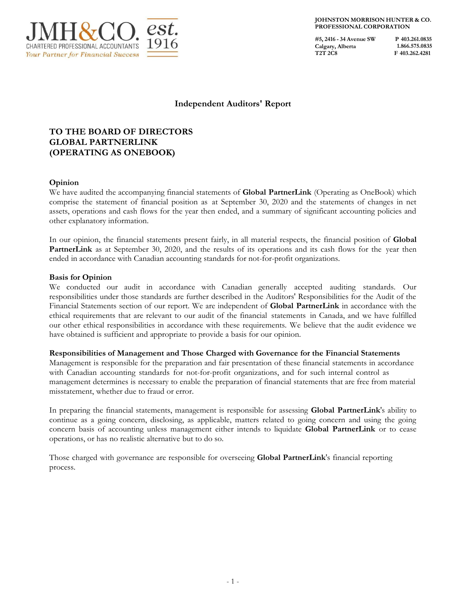

**#5, 2416 - 34 Avenue SW Calgary, Alberta T2T 2C8**

**P 403.261.0835 1.866.575.0835 F 403.262.4281**

### **Independent Auditors' Report**

## <span id="page-2-0"></span>**TO THE BOARD OF DIRECTORS GLOBAL PARTNERLINK (OPERATING AS ONEBOOK)**

#### **Opinion**

We have audited the accompanying financial statements of **Global PartnerLink** (Operating as OneBook) which comprise the statement of financial position as at September 30, 2020 and the statements of changes in net assets, operations and cash flows for the year then ended, and a summary of significant accounting policies and other explanatory information.

In our opinion, the financial statements present fairly, in all material respects, the financial position of **Global PartnerLink** as at September 30, 2020, and the results of its operations and its cash flows for the year then ended in accordance with Canadian accounting standards for not-for-profit organizations.

#### **Basis for Opinion**

We conducted our audit in accordance with Canadian generally accepted auditing standards. Our responsibilities under those standards are further described in the Auditors' Responsibilities for the Audit of the Financial Statements section of our report. We are independent of **Global PartnerLink** in accordance with the ethical requirements that are relevant to our audit of the financial statements in Canada, and we have fulfilled our other ethical responsibilities in accordance with these requirements. We believe that the audit evidence we have obtained is sufficient and appropriate to provide a basis for our opinion.

#### **Responsibilities of Management and Those Charged with Governance for the Financial Statements**

Management is responsible for the preparation and fair presentation of these financial statements in accordance with Canadian accounting standards for not-for-profit organizations, and for such internal control as management determines is necessary to enable the preparation of financial statements that are free from material misstatement, whether due to fraud or error.

In preparing the financial statements, management is responsible for assessing **Global PartnerLink**'s ability to continue as a going concern, disclosing, as applicable, matters related to going concern and using the going concern basis of accounting unless management either intends to liquidate **Global PartnerLink** or to cease operations, or has no realistic alternative but to do so.

Those charged with governance are responsible for overseeing **Global PartnerLink**'s financial reporting process.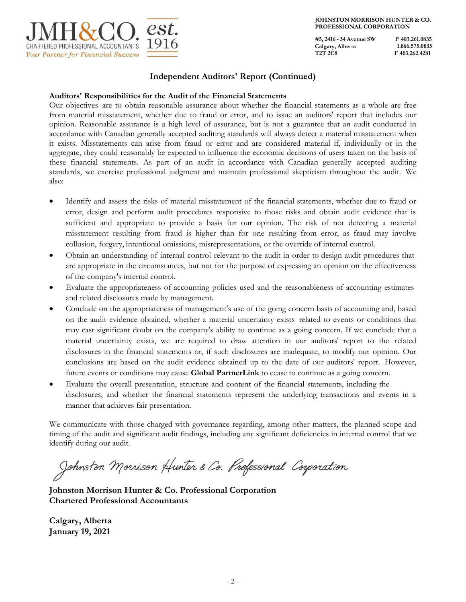

**#5, 2416 - 34 Avenue SW Calgary, Alberta T2T 2C8 P 403.261.0835 1.866.575.0835 F 403.262.4281**

## **Independent Auditors' Report (Continued)**

#### **Auditors' Responsibilities for the Audit of the Financial Statements**

Our objectives are to obtain reasonable assurance about whether the financial statements as a whole are free from material misstatement, whether due to fraud or error, and to issue an auditors' report that includes our opinion. Reasonable assurance is a high level of assurance, but is not a guarantee that an audit conducted in accordance with Canadian generally accepted auditing standards will always detect a material misstatement when it exists. Misstatements can arise from fraud or error and are considered material if, individually or in the aggregate, they could reasonably be expected to influence the economic decisions of users taken on the basis of these financial statements. As part of an audit in accordance with Canadian generally accepted auditing standards, we exercise professional judgment and maintain professional skepticism throughout the audit. We also:

- Identify and assess the risks of material misstatement of the financial statements, whether due to fraud or error, design and perform audit procedures responsive to those risks and obtain audit evidence that is sufficient and appropriate to provide a basis for our opinion. The risk of not detecting a material misstatement resulting from fraud is higher than for one resulting from error, as fraud may involve collusion, forgery, intentional omissions, misrepresentations, or the override of internal control.
- Obtain an understanding of internal control relevant to the audit in order to design audit procedures that are appropriate in the circumstances, but not for the purpose of expressing an opinion on the effectiveness of the company's internal control.
- Evaluate the appropriateness of accounting policies used and the reasonableness of accounting estimates and related disclosures made by management.
- Conclude on the appropriateness of management's use of the going concern basis of accounting and, based on the audit evidence obtained, whether a material uncertainty exists related to events or conditions that may cast significant doubt on the company's ability to continue as a going concern. If we conclude that a material uncertainty exists, we are required to draw attention in our auditors' report to the related disclosures in the financial statements or, if such disclosures are inadequate, to modify our opinion. Our conclusions are based on the audit evidence obtained up to the date of our auditors' report. However, future events or conditions may cause **Global PartnerLink** to cease to continue as a going concern.
- Evaluate the overall presentation, structure and content of the financial statements, including the disclosures, and whether the financial statements represent the underlying transactions and events in a manner that achieves fair presentation.

We communicate with those charged with governance regarding, among other matters, the planned scope and timing of the audit and significant audit findings, including any significant deficiencies in internal control that we identify during our audit.

Johnston Morrison Hunter & Co. Professional Corporation

**Johnston Morrison Hunter & Co. Professional Corporation Chartered Professional Accountants**

**Calgary, Alberta January 19, 2021**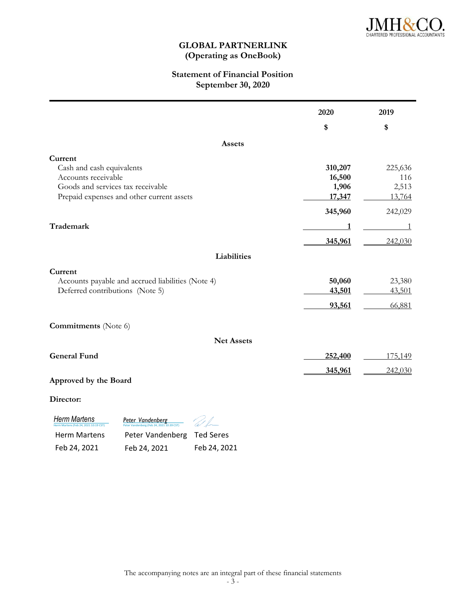

## **Statement of Financial Position September 30, 2020**

|                                                   | 2020    | 2019    |
|---------------------------------------------------|---------|---------|
|                                                   |         |         |
|                                                   | \$      | \$      |
| <b>Assets</b>                                     |         |         |
| Current                                           |         |         |
| Cash and cash equivalents                         | 310,207 | 225,636 |
| Accounts receivable                               | 16,500  | 116     |
| Goods and services tax receivable                 | 1,906   | 2,513   |
| Prepaid expenses and other current assets         | 17,347  | 13,764  |
|                                                   | 345,960 | 242,029 |
| Trademark                                         |         |         |
|                                                   | 345,961 | 242,030 |
| Liabilities                                       |         |         |
| Current                                           |         |         |
| Accounts payable and accrued liabilities (Note 4) | 50,060  | 23,380  |
| Deferred contributions (Note 5)                   | 43,501  | 43,501  |
|                                                   | 93,561  | 66,881  |
| <b>Commitments</b> (Note 6)                       |         |         |
| <b>Net Assets</b>                                 |         |         |
| <b>General Fund</b>                               | 252,400 | 175,149 |
|                                                   | 345,961 | 242,030 |
| Approved by the Board                             |         |         |

## **Director:**

| <b>Herm Martens</b><br>Herm Martens (Feb 24, 2021 10:19 CST) | Peter Vandenberg<br>Peter Vandenberg (Feb 24, 2021 10:39 CST) | $\mathbb{Z}$ |
|--------------------------------------------------------------|---------------------------------------------------------------|--------------|
| <b>Herm Martens</b>                                          | Peter Vandenberg Ted Seres                                    |              |
| Feb 24, 2021                                                 | Feb 24, 2021                                                  | Feb 24, 2021 |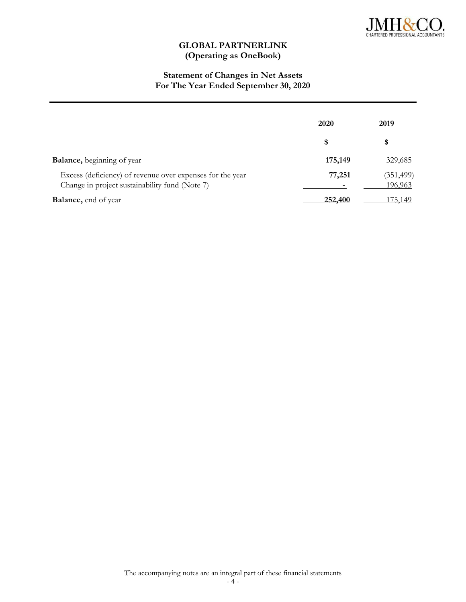

## **Statement of Changes in Net Assets For The Year Ended September 30, 2020**

|                                                                                                             | 2020    | 2019                  |
|-------------------------------------------------------------------------------------------------------------|---------|-----------------------|
|                                                                                                             | \$      | \$                    |
| <b>Balance,</b> beginning of year                                                                           | 175,149 | 329,685               |
| Excess (deficiency) of revenue over expenses for the year<br>Change in project sustainability fund (Note 7) | 77,251  | (351, 499)<br>196,963 |
| <b>Balance</b> , end of year                                                                                | 252,400 | 175,149               |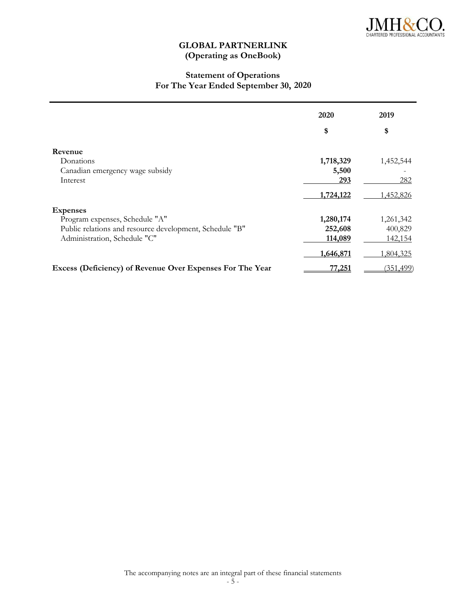

## **Statement of Operations For The Year Ended September 30, 2020**

|                                                           | 2020      | 2019       |
|-----------------------------------------------------------|-----------|------------|
|                                                           | \$        | \$         |
| Revenue                                                   |           |            |
| Donations                                                 | 1,718,329 | 1,452,544  |
| Canadian emergency wage subsidy                           | 5,500     |            |
| Interest                                                  | 293       | 282        |
|                                                           | 1,724,122 | 1,452,826  |
| <b>Expenses</b>                                           |           |            |
| Program expenses, Schedule "A"                            | 1,280,174 | 1,261,342  |
| Public relations and resource development, Schedule "B"   | 252,608   | 400,829    |
| Administration, Schedule "C"                              | 114,089   | 142,154    |
|                                                           | 1,646,871 | 1,804,325  |
| Excess (Deficiency) of Revenue Over Expenses For The Year | 77,251    | (351, 499) |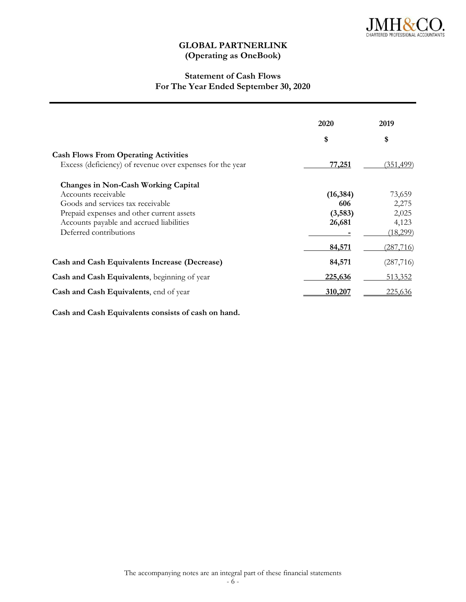

## **Statement of Cash Flows For The Year Ended September 30, 2020**

|                                                           | 2020      | 2019           |
|-----------------------------------------------------------|-----------|----------------|
|                                                           | \$        | \$             |
| <b>Cash Flows From Operating Activities</b>               |           |                |
| Excess (deficiency) of revenue over expenses for the year | 77,251    | (351, 499)     |
| <b>Changes in Non-Cash Working Capital</b>                |           |                |
| Accounts receivable                                       | (16, 384) | 73,659         |
| Goods and services tax receivable                         | 606       | 2,275          |
| Prepaid expenses and other current assets                 | (3,583)   | 2,025          |
| Accounts payable and accrued liabilities                  | 26,681    | 4,123          |
| Deferred contributions                                    |           | (18,299)       |
|                                                           | 84,571    | (287, 716)     |
| <b>Cash and Cash Equivalents Increase (Decrease)</b>      | 84,571    | (287, 716)     |
| Cash and Cash Equivalents, beginning of year              | 225,636   | <u>513,352</u> |
| <b>Cash and Cash Equivalents, end of year</b>             | 310,207   | 225,636        |

**Cash and Cash Equivalents consists of cash on hand.**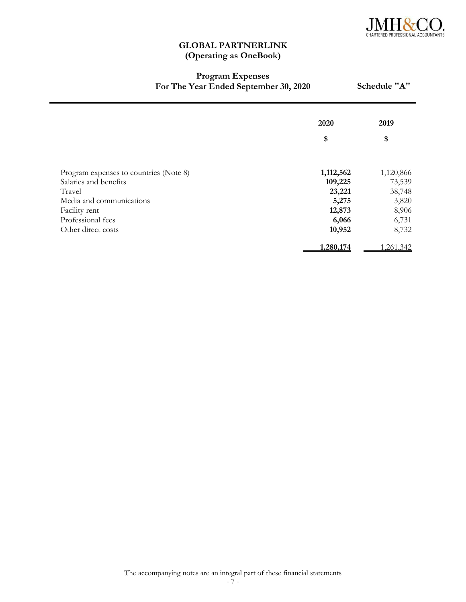

# **Program Expenses For The Year Ended September 30, 2020 Schedule "A"**

|                                        | 2020      | 2019           |
|----------------------------------------|-----------|----------------|
|                                        | \$        | \$             |
|                                        |           |                |
| Program expenses to countries (Note 8) | 1,112,562 | 1,120,866      |
| Salaries and benefits                  | 109,225   | 73,539         |
| Travel                                 | 23,221    | 38,748         |
| Media and communications               | 5,275     | 3,820          |
| Facility rent                          | 12,873    | 8,906          |
| Professional fees                      | 6,066     | 6,731          |
| Other direct costs                     | 10,952    | 8,732          |
|                                        | 1,280,174 | <u>261,342</u> |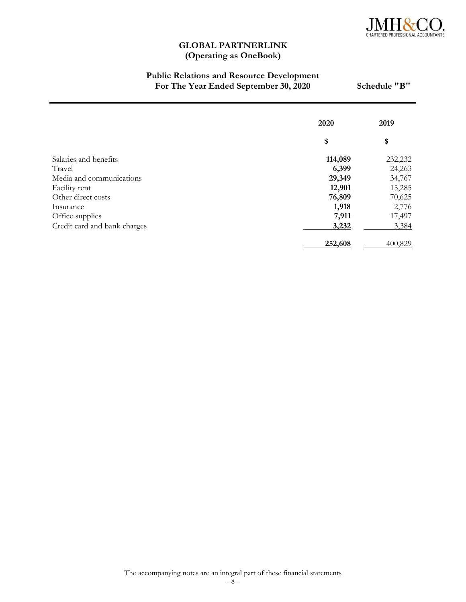

**252,608** 400,829

## **GLOBAL PARTNERLINK (Operating as OneBook)**

Facility rent **12,901** 15,285<br>Other direct costs **12,901** 15,285 Other direct costs **76,809** 70,625 Insurance **1,918** 2,776 Office supplies **7,911** 17,497 Credit card and bank charges **3,232** 3,384

| <b>Public Relations and Resource Development</b><br>For The Year Ended September 30, 2020 |                 | Schedule "B"     |  |
|-------------------------------------------------------------------------------------------|-----------------|------------------|--|
|                                                                                           | 2020            | 2019             |  |
|                                                                                           | \$              | \$               |  |
| Salaries and benefits                                                                     | 114,089         | 232,232          |  |
| Travel<br>Media and communications                                                        | 6,399<br>29,349 | 24,263<br>34,767 |  |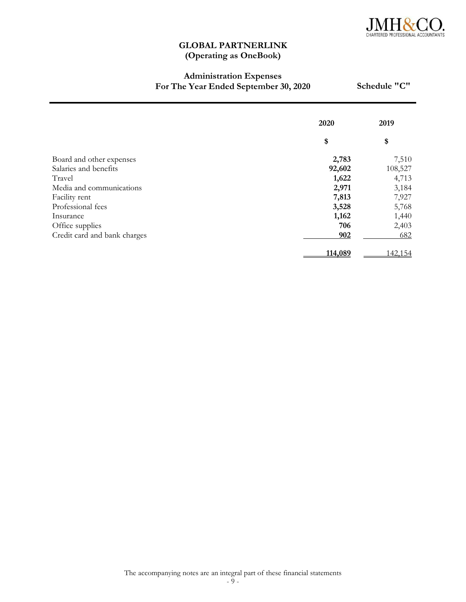

## **Administration Expenses For The Year Ended September 30, 2020 Schedule "C"**

|                              | 2020    | 2019    |
|------------------------------|---------|---------|
|                              | \$      | \$      |
| Board and other expenses     | 2,783   | 7,510   |
| Salaries and benefits        | 92,602  | 108,527 |
| Travel                       | 1,622   | 4,713   |
| Media and communications     | 2,971   | 3,184   |
| Facility rent                | 7,813   | 7,927   |
| Professional fees            | 3,528   | 5,768   |
| Insurance                    | 1,162   | 1,440   |
| Office supplies              | 706     | 2,403   |
| Credit card and bank charges | 902     | 682     |
|                              | 114,089 | 142,154 |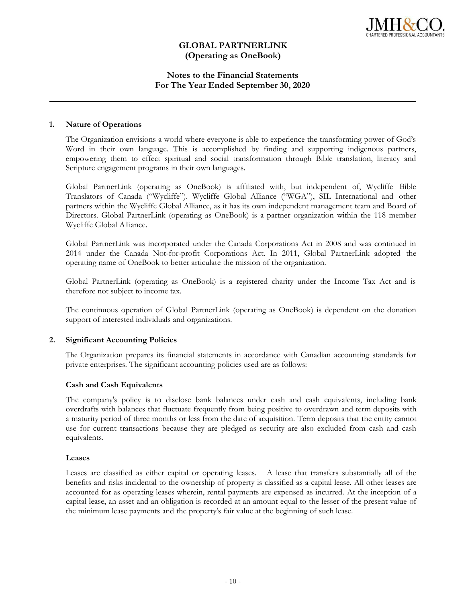

## **Notes to the Financial Statements For The Year Ended September 30, 2020**

#### **1. Nature of Operations**

The Organization envisions a world where everyone is able to experience the transforming power of God's Word in their own language. This is accomplished by finding and supporting indigenous partners, empowering them to effect spiritual and social transformation through Bible translation, literacy and Scripture engagement programs in their own languages.

Global PartnerLink (operating as OneBook) is affiliated with, but independent of, Wycliffe Bible Translators of Canada ("Wycliffe"). Wycliffe Global Alliance ("WGA"), SIL International and other partners within the Wycliffe Global Alliance, as it has its own independent management team and Board of Directors. Global PartnerLink (operating as OneBook) is a partner organization within the 118 member Wycliffe Global Alliance.

Global PartnerLink was incorporated under the Canada Corporations Act in 2008 and was continued in 2014 under the Canada Not-for-profit Corporations Act. In 2011, Global PartnerLink adopted the operating name of OneBook to better articulate the mission of the organization.

Global PartnerLink (operating as OneBook) is a registered charity under the Income Tax Act and is therefore not subject to income tax.

The continuous operation of Global PartnerLink (operating as OneBook) is dependent on the donation support of interested individuals and organizations.

#### **2. Significant Accounting Policies**

The Organization prepares its financial statements in accordance with Canadian accounting standards for private enterprises. The significant accounting policies used are as follows:

### **Cash and Cash Equivalents**

The company's policy is to disclose bank balances under cash and cash equivalents, including bank overdrafts with balances that fluctuate frequently from being positive to overdrawn and term deposits with a maturity period of three months or less from the date of acquisition. Term deposits that the entity cannot use for current transactions because they are pledged as security are also excluded from cash and cash equivalents.

#### **Leases**

Leases are classified as either capital or operating leases. A lease that transfers substantially all of the benefits and risks incidental to the ownership of property is classified as a capital lease. All other leases are accounted for as operating leases wherein, rental payments are expensed as incurred. At the inception of a capital lease, an asset and an obligation is recorded at an amount equal to the lesser of the present value of the minimum lease payments and the property's fair value at the beginning of such lease.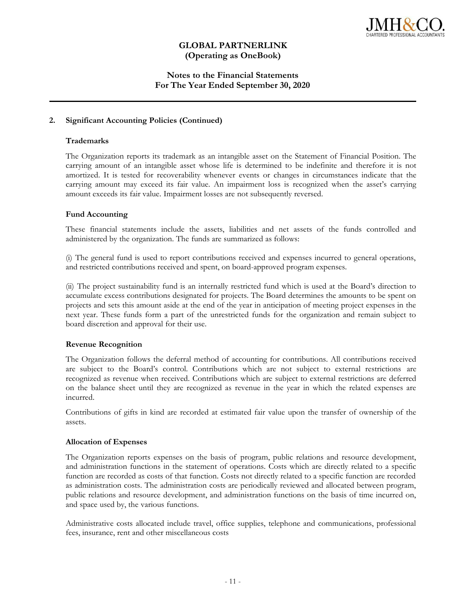

## **Notes to the Financial Statements For The Year Ended September 30, 2020**

### **2. Significant Accounting Policies (Continued)**

#### **Trademarks**

The Organization reports its trademark as an intangible asset on the Statement of Financial Position. The carrying amount of an intangible asset whose life is determined to be indefinite and therefore it is not amortized. It is tested for recoverability whenever events or changes in circumstances indicate that the carrying amount may exceed its fair value. An impairment loss is recognized when the asset's carrying amount exceeds its fair value. Impairment losses are not subsequently reversed.

#### **Fund Accounting**

These financial statements include the assets, liabilities and net assets of the funds controlled and administered by the organization. The funds are summarized as follows:

(i) The general fund is used to report contributions received and expenses incurred to general operations, and restricted contributions received and spent, on board-approved program expenses.

(ii) The project sustainability fund is an internally restricted fund which is used at the Board's direction to accumulate excess contributions designated for projects. The Board determines the amounts to be spent on projects and sets this amount aside at the end of the year in anticipation of meeting project expenses in the next year. These funds form a part of the unrestricted funds for the organization and remain subject to board discretion and approval for their use.

#### **Revenue Recognition**

The Organization follows the deferral method of accounting for contributions. All contributions received are subject to the Board's control. Contributions which are not subject to external restrictions are recognized as revenue when received. Contributions which are subject to external restrictions are deferred on the balance sheet until they are recognized as revenue in the year in which the related expenses are incurred.

Contributions of gifts in kind are recorded at estimated fair value upon the transfer of ownership of the assets.

#### **Allocation of Expenses**

The Organization reports expenses on the basis of program, public relations and resource development, and administration functions in the statement of operations. Costs which are directly related to a specific function are recorded as costs of that function. Costs not directly related to a specific function are recorded as administration costs. The administration costs are periodically reviewed and allocated between program, public relations and resource development, and administration functions on the basis of time incurred on, and space used by, the various functions.

Administrative costs allocated include travel, office supplies, telephone and communications, professional fees, insurance, rent and other miscellaneous costs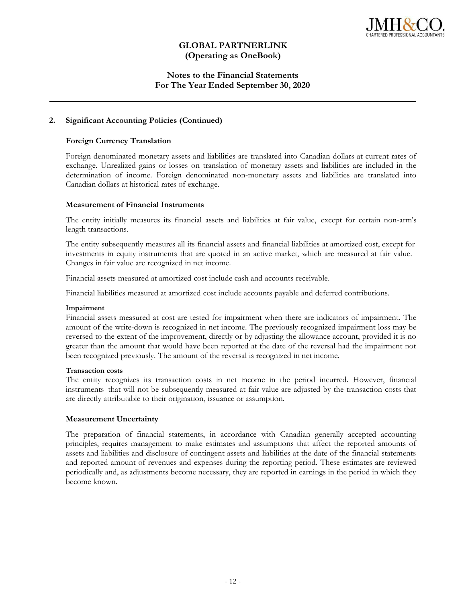

## **Notes to the Financial Statements For The Year Ended September 30, 2020**

#### **2. Significant Accounting Policies (Continued)**

#### **Foreign Currency Translation**

Foreign denominated monetary assets and liabilities are translated into Canadian dollars at current rates of exchange. Unrealized gains or losses on translation of monetary assets and liabilities are included in the determination of income. Foreign denominated non-monetary assets and liabilities are translated into Canadian dollars at historical rates of exchange.

#### **Measurement of Financial Instruments**

The entity initially measures its financial assets and liabilities at fair value, except for certain non-arm's length transactions.

The entity subsequently measures all its financial assets and financial liabilities at amortized cost, except for investments in equity instruments that are quoted in an active market, which are measured at fair value. Changes in fair value are recognized in net income.

Financial assets measured at amortized cost include cash and accounts receivable.

Financial liabilities measured at amortized cost include accounts payable and deferred contributions.

#### **Impairment**

Financial assets measured at cost are tested for impairment when there are indicators of impairment. The amount of the write-down is recognized in net income. The previously recognized impairment loss may be reversed to the extent of the improvement, directly or by adjusting the allowance account, provided it is no greater than the amount that would have been reported at the date of the reversal had the impairment not been recognized previously. The amount of the reversal is recognized in net income.

#### **Transaction costs**

The entity recognizes its transaction costs in net income in the period incurred. However, financial instruments that will not be subsequently measured at fair value are adjusted by the transaction costs that are directly attributable to their origination, issuance or assumption.

#### **Measurement Uncertainty**

The preparation of financial statements, in accordance with Canadian generally accepted accounting principles, requires management to make estimates and assumptions that affect the reported amounts of assets and liabilities and disclosure of contingent assets and liabilities at the date of the financial statements and reported amount of revenues and expenses during the reporting period. These estimates are reviewed periodically and, as adjustments become necessary, they are reported in earnings in the period in which they become known.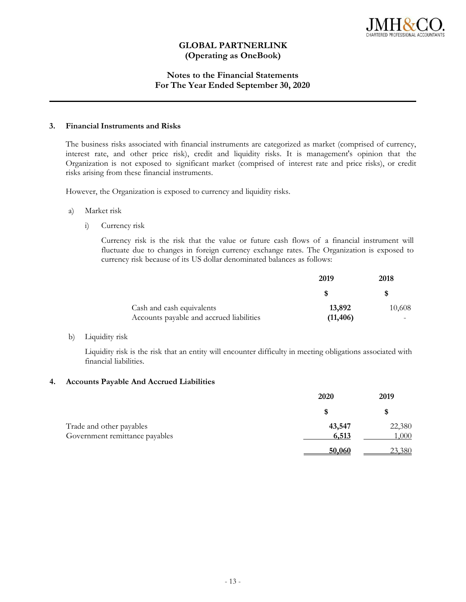

## **Notes to the Financial Statements For The Year Ended September 30, 2020**

#### **3. Financial Instruments and Risks**

The business risks associated with financial instruments are categorized as market (comprised of currency, interest rate, and other price risk), credit and liquidity risks. It is management's opinion that the Organization is not exposed to significant market (comprised of interest rate and price risks), or credit risks arising from these financial instruments.

However, the Organization is exposed to currency and liquidity risks.

- a) Market risk
	- i) Currency risk

Currency risk is the risk that the value or future cash flows of a financial instrument will fluctuate due to changes in foreign currency exchange rates. The Organization is exposed to currency risk because of its US dollar denominated balances as follows:

|                                          | 2019      | 2018<br>S |
|------------------------------------------|-----------|-----------|
|                                          |           |           |
| Cash and cash equivalents                | 13,892    | 10,608    |
| Accounts payable and accrued liabilities | (11, 406) |           |

#### b) Liquidity risk

Liquidity risk is the risk that an entity will encounter difficulty in meeting obligations associated with financial liabilities.

#### **4. Accounts Payable And Accrued Liabilities**

|                                | 2020   | 2019   |
|--------------------------------|--------|--------|
|                                | S      |        |
| Trade and other payables       | 43,547 | 22,380 |
| Government remittance payables | 6,513  | 1,000  |
|                                | 50,060 | 23,380 |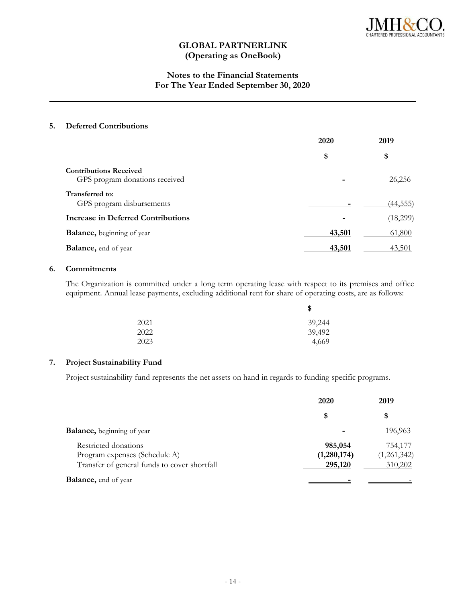

## **Notes to the Financial Statements For The Year Ended September 30, 2020**

### **5. Deferred Contributions**

|                                                                 | 2020   | 2019      |
|-----------------------------------------------------------------|--------|-----------|
|                                                                 | \$     | \$        |
| <b>Contributions Received</b><br>GPS program donations received |        | 26,256    |
| Transferred to:<br>GPS program disbursements                    |        | (44, 555) |
| <b>Increase in Deferred Contributions</b>                       |        | (18,299)  |
| <b>Balance,</b> beginning of year                               | 43,501 | 61,800    |
| <b>Balance, end of year</b>                                     | 43,501 | 43,501    |

#### **6. Commitments**

The Organization is committed under a long term operating lease with respect to its premises and office equipment. Annual lease payments, excluding additional rent for share of operating costs, are as follows:

|      | S      |
|------|--------|
| 2021 | 39,244 |
| 2022 | 39,492 |
| 2023 | 4,669  |

### **7. Project Sustainability Fund**

Project sustainability fund represents the net assets on hand in regards to funding specific programs.

|                                              | 2020<br>\$  | 2019<br>\$  |
|----------------------------------------------|-------------|-------------|
|                                              |             |             |
| <b>Balance,</b> beginning of year            |             | 196,963     |
| Restricted donations                         | 985,054     | 754,177     |
| Program expenses (Schedule A)                | (1,280,174) | (1,261,342) |
| Transfer of general funds to cover shortfall | 295,120     | 310,202     |
| <b>Balance</b> , end of year                 |             |             |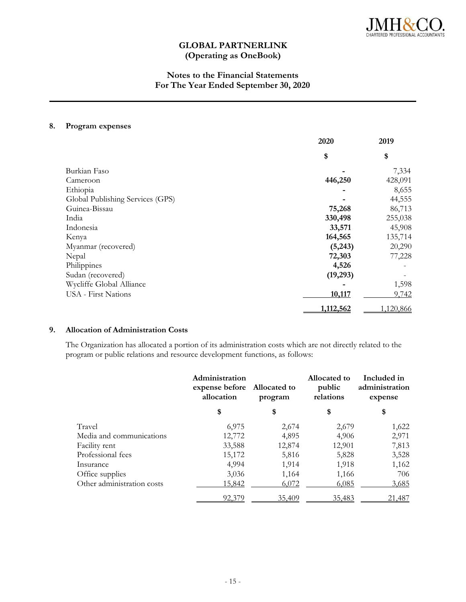

## **Notes to the Financial Statements For The Year Ended September 30, 2020**

### **8. Program expenses**

|                                  | 2020      | 2019      |  |
|----------------------------------|-----------|-----------|--|
|                                  | \$        | \$        |  |
| Burkian Faso                     |           | 7,334     |  |
| Cameroon                         | 446,250   | 428,091   |  |
| Ethiopia                         |           | 8,655     |  |
| Global Publishing Services (GPS) |           | 44,555    |  |
| Guinea-Bissau                    | 75,268    | 86,713    |  |
| India                            | 330,498   | 255,038   |  |
| Indonesia                        | 33,571    | 45,908    |  |
| Kenya                            | 164,565   | 135,714   |  |
| Myanmar (recovered)              | (5,243)   | 20,290    |  |
| Nepal                            | 72,303    | 77,228    |  |
| Philippines                      | 4,526     |           |  |
| Sudan (recovered)                | (19,293)  |           |  |
| Wycliffe Global Alliance         |           | 1,598     |  |
| <b>USA</b> - First Nations       | 10,117    | 9,742     |  |
|                                  | 1,112,562 | 1,120,866 |  |

#### **9. Allocation of Administration Costs**

The Organization has allocated a portion of its administration costs which are not directly related to the program or public relations and resource development functions, as follows:

|                            | Administration<br>expense before<br>allocation<br>\$ | Allocated to<br>program<br>\$ | Allocated to<br>public<br>relations<br>\$ | Included in<br>administration<br>expense<br>\$ |
|----------------------------|------------------------------------------------------|-------------------------------|-------------------------------------------|------------------------------------------------|
|                            |                                                      |                               |                                           |                                                |
| Travel                     | 6,975                                                | 2,674                         | 2,679                                     | 1,622                                          |
| Media and communications   | 12,772                                               | 4,895                         | 4,906                                     | 2,971                                          |
| Facility rent              | 33,588                                               | 12,874                        | 12,901                                    | 7,813                                          |
| Professional fees          | 15,172                                               | 5,816                         | 5,828                                     | 3,528                                          |
| Insurance                  | 4,994                                                | 1,914                         | 1,918                                     | 1,162                                          |
| Office supplies            | 3,036                                                | 1,164                         | 1,166                                     | 706                                            |
| Other administration costs | 15,842                                               | 6,072                         | 6,085                                     | 3,685                                          |
|                            | 92,379                                               | 35,409                        | <u>35,483</u>                             | 21,487                                         |